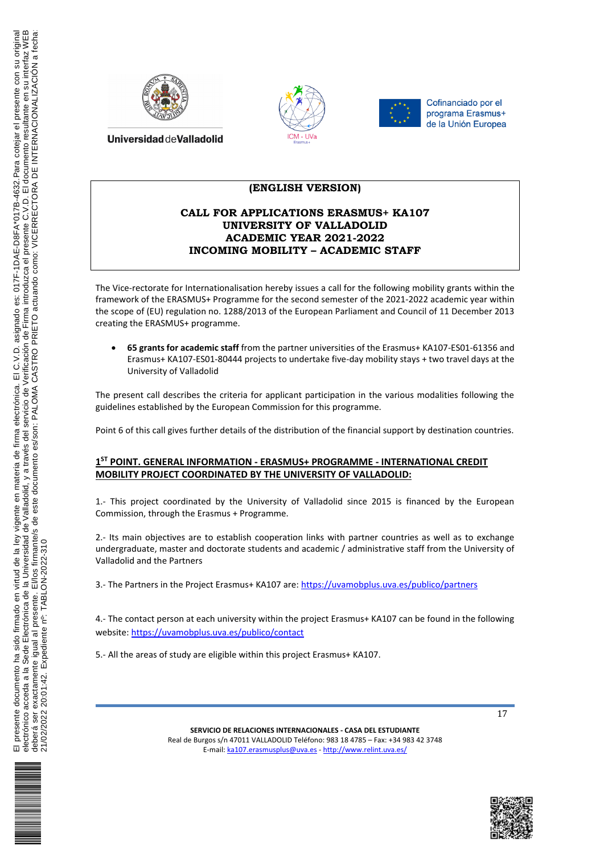





# **(ENGLISH VERSION)**

# **CALL FOR APPLICATIONS ERASMUS+ KA107 UNIVERSITY OF VALLADOLID ACADEMIC YEAR 2021-2022 INCOMING MOBILITY – ACADEMIC STAFF**

The Vice-rectorate for Internationalisation hereby issues a call for the following mobility grants within the framework of the ERASMUS+ Programme for the second semester of the 2021-2022 academic year within the scope of (EU) regulation no. 1288/2013 of the European Parliament and Council of 11 December 2013 creating the ERASMUS+ programme.

 **65 grants for academic staff** from the partner universities of the Erasmus+ KA107-ES01-61356 and Erasmus+ KA107-ES01-80444 projects to undertake five-day mobility stays + two travel days at the University of Valladolid

The present call describes the criteria for applicant participation in the various modalities following the guidelines established by the European Commission for this programme.

Point 6 of this call gives further details of the distribution of the financial support by destination countries.

### **1 ST POINT. GENERAL INFORMATION - ERASMUS+ PROGRAMME - INTERNATIONAL CREDIT MOBILITY PROJECT COORDINATED BY THE UNIVERSITY OF VALLADOLID:**

1.- This project coordinated by the University of Valladolid since 2015 is financed by the European Commission, through the Erasmus + Programme.

2.- Its main objectives are to establish cooperation links with partner countries as well as to exchange undergraduate, master and doctorate students and academic / administrative staff from the University of Valladolid and the Partners

3.- The Partners in the Project Erasmus+ KA107 are: https://uvamobplus.uva.es/publico/partners

4.- The contact person at each university within the project Erasmus+ KA107 can be found in the following website: https://uvamobplus.uva.es/publico/contact

5.- All the areas of study are eligible within this project Erasmus+ KA107.



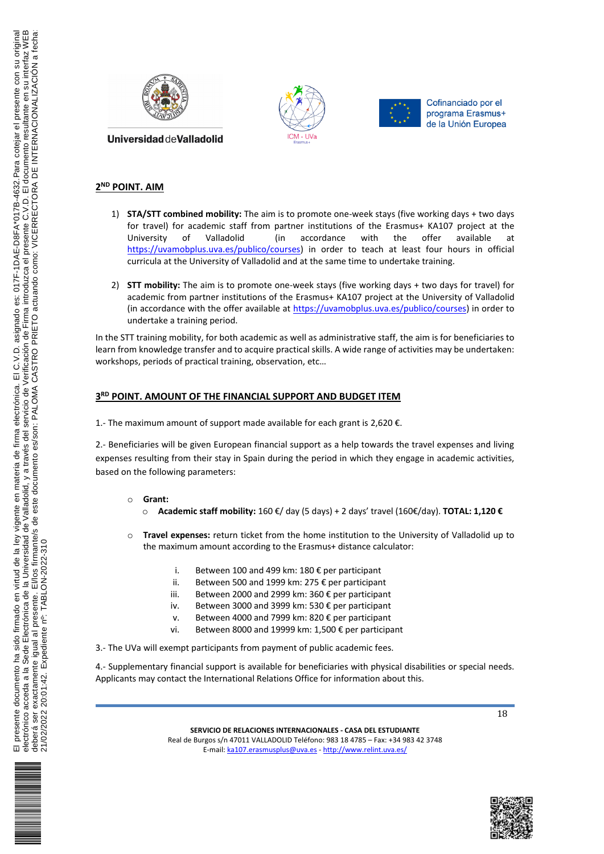





## **2 ND POINT. AIM**

- 1) **STA/STT combined mobility:** The aim is to promote one-week stays (five working days + two days for travel) for academic staff from partner institutions of the Erasmus+ KA107 project at the University of Valladolid (in accordance with the offer available at https://uvamobplus.uva.es/publico/courses) in order to teach at least four hours in official curricula at the University of Valladolid and at the same time to undertake training.
- 2) **STT mobility:** The aim is to promote one-week stays (five working days + two days for travel) for academic from partner institutions of the Erasmus+ KA107 project at the University of Valladolid (in accordance with the offer available at https://uvamobplus.uva.es/publico/courses) in order to undertake a training period.

In the STT training mobility, for both academic as well as administrative staff, the aim is for beneficiaries to learn from knowledge transfer and to acquire practical skills. A wide range of activities may be undertaken: workshops, periods of practical training, observation, etc…

## **3 RD POINT. AMOUNT OF THE FINANCIAL SUPPORT AND BUDGET ITEM**

1.- The maximum amount of support made available for each grant is 2,620 €.

2.- Beneficiaries will be given European financial support as a help towards the travel expenses and living expenses resulting from their stay in Spain during the period in which they engage in academic activities, based on the following parameters:

- o **Grant:**
	- o **Academic staff mobility:** 160 €/ day (5 days) + 2 days' travel (160€/day). **TOTAL: 1,120 €**
- Travel expenses: return ticket from the home institution to the University of Valladolid up to the maximum amount according to the Erasmus+ distance calculator:
	- i. Between 100 and 499 km: 180 € per participant
	- ii. Between 500 and 1999 km: 275 € per participant
	- iii. Between 2000 and 2999 km: 360 € per participant
	- iv. Between 3000 and 3999 km: 530 € per participant
	- v. Between 4000 and 7999 km: 820 € per participant
	- vi. Between 8000 and 19999 km: 1,500 € per participant
- 3.- The UVa will exempt participants from payment of public academic fees.

4.- Supplementary financial support is available for beneficiaries with physical disabilities or special needs. Applicants may contact the International Relations Office for information about this.

18

**SERVICIO DE RELACIONES INTERNACIONALES - CASA DEL ESTUDIANTE** Real de Burgos s/n 47011 VALLADOLID Teléfono: 983 18 4785 – Fax: +34 983 42 3748 E-mail: ka107.erasmusplus@uva.es - http://www.relint.uva.es/



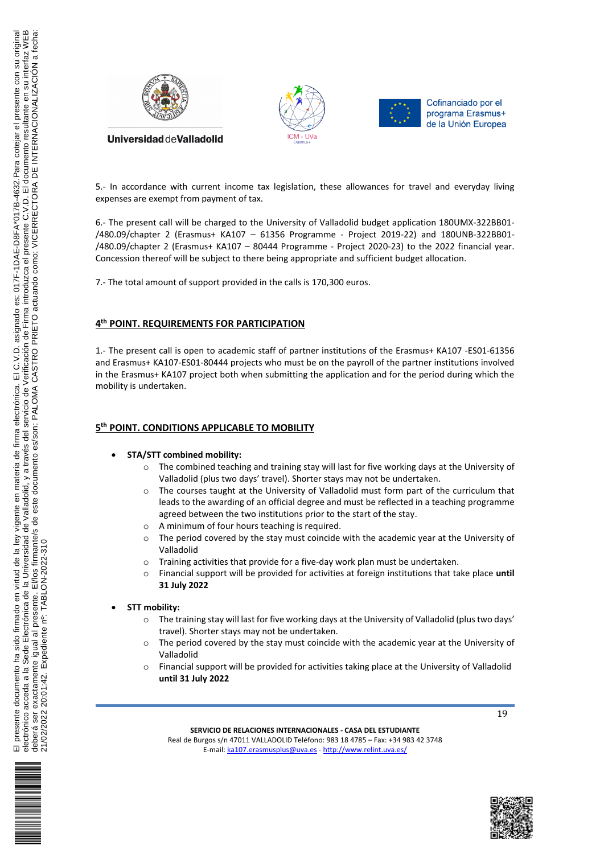



5.- In accordance with current income tax legislation, these allowances for travel and everyday living expenses are exempt from payment of tax.

6.- The present call will be charged to the University of Valladolid budget application 180UMX-322BB01- /480.09/chapter 2 (Erasmus+ KA107 – 61356 Programme - Project 2019-22) and 180UNB-322BB01- /480.09/chapter 2 (Erasmus+ KA107 – 80444 Programme - Project 2020-23) to the 2022 financial year. Concession thereof will be subject to there being appropriate and sufficient budget allocation.

7.- The total amount of support provided in the calls is 170,300 euros.

# **4 th POINT. REQUIREMENTS FOR PARTICIPATION**

1.- The present call is open to academic staff of partner institutions of the Erasmus+ KA107 -ES01-61356 and Erasmus+ KA107-ES01-80444 projects who must be on the payroll of the partner institutions involved in the Erasmus+ KA107 project both when submitting the application and for the period during which the mobility is undertaken.

# **5 th POINT. CONDITIONS APPLICABLE TO MOBILITY**

#### **STA/STT combined mobility:**

- $\circ$  The combined teaching and training stay will last for five working days at the University of Valladolid (plus two days' travel). Shorter stays may not be undertaken.
- o The courses taught at the University of Valladolid must form part of the curriculum that leads to the awarding of an official degree and must be reflected in a teaching programme agreed between the two institutions prior to the start of the stay.
- o A minimum of four hours teaching is required.
- o The period covered by the stay must coincide with the academic year at the University of Valladolid
- o Training activities that provide for a five-day work plan must be undertaken.
- o Financial support will be provided for activities at foreign institutions that take place **until 31 July 2022**

#### **STT mobility:**

- $\circ$  The training stay will last for five working days at the University of Valladolid (plus two days' travel). Shorter stays may not be undertaken.
- $\circ$  The period covered by the stay must coincide with the academic year at the University of Valladolid
- o Financial support will be provided for activities taking place at the University of Valladolid **until 31 July 2022**

19

**SERVICIO DE RELACIONES INTERNACIONALES - CASA DEL ESTUDIANTE** Real de Burgos s/n 47011 VALLADOLID Teléfono: 983 18 4785 – Fax: +34 983 42 3748 E-mail: ka107.erasmusplus@uva.es - http://www.relint.uva.es/



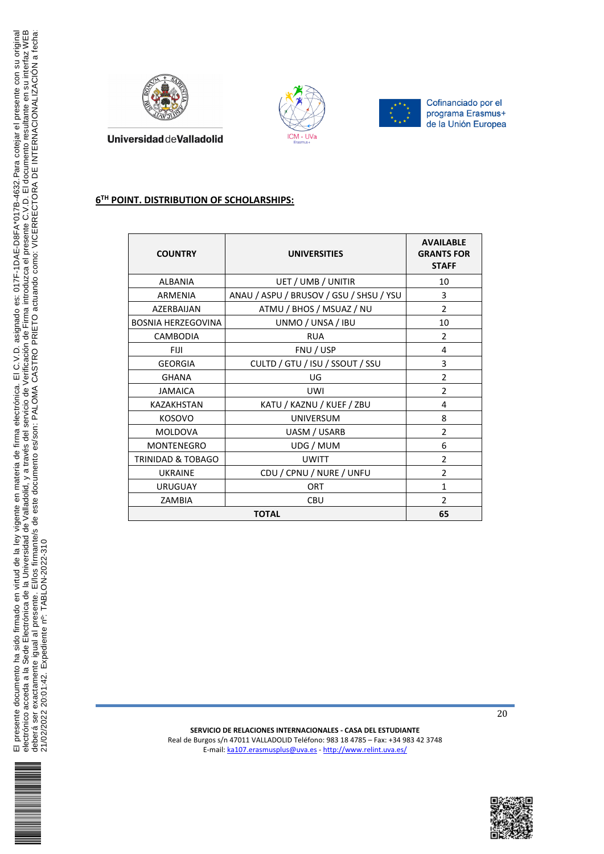





# **6 TH POINT. DISTRIBUTION OF SCHOLARSHIPS:**

| <b>COUNTRY</b>               | <b>UNIVERSITIES</b>                     | <b>AVAILABLE</b><br><b>GRANTS FOR</b><br><b>STAFF</b> |
|------------------------------|-----------------------------------------|-------------------------------------------------------|
| <b>ALBANIA</b>               | UET / UMB / UNITIR                      | 10                                                    |
| ARMENIA                      | ANAU / ASPU / BRUSOV / GSU / SHSU / YSU | 3                                                     |
| AZERBAIJAN                   | ATMU / BHOS / MSUAZ / NU                | $\overline{2}$                                        |
| <b>BOSNIA HERZEGOVINA</b>    | UNMO / UNSA / IBU                       | 10                                                    |
| <b>CAMBODIA</b>              | <b>RUA</b>                              | $\mathcal{P}$                                         |
| <b>FIJI</b>                  | FNU / USP                               | 4                                                     |
| <b>GEORGIA</b>               | CULTD / GTU / ISU / SSOUT / SSU         | 3                                                     |
| <b>GHANA</b>                 | UG                                      | $\overline{2}$                                        |
| <b>JAMAICA</b>               | <b>UWI</b>                              | $\overline{2}$                                        |
| <b>KAZAKHSTAN</b>            | KATU / KAZNU / KUEF / ZBU               | 4                                                     |
| <b>KOSOVO</b>                | <b>UNIVERSUM</b>                        | 8                                                     |
| <b>MOLDOVA</b>               | UASM / USARB                            | $\overline{2}$                                        |
| MONTENEGRO                   | UDG / MUM                               | 6                                                     |
| <b>TRINIDAD &amp; TOBAGO</b> | <b>UWITT</b>                            | 2                                                     |
| <b>UKRAINE</b>               | CDU / CPNU / NURE / UNFU                | $\overline{2}$                                        |
| <b>URUGUAY</b>               | <b>ORT</b>                              | 1                                                     |
| ZAMBIA                       | <b>CBU</b>                              | $\mathcal{P}$                                         |
| <b>TOTAL</b>                 |                                         | 65                                                    |



**SERVICIO DE RELACIONES INTERNACIONALES - CASA DEL ESTUDIANTE** Real de Burgos s/n 47011 VALLADOLID Teléfono: 983 18 4785 – Fax: +34 983 42 3748 E-mail: ka107.erasmusplus@uva.es - http://www.relint.uva.es/

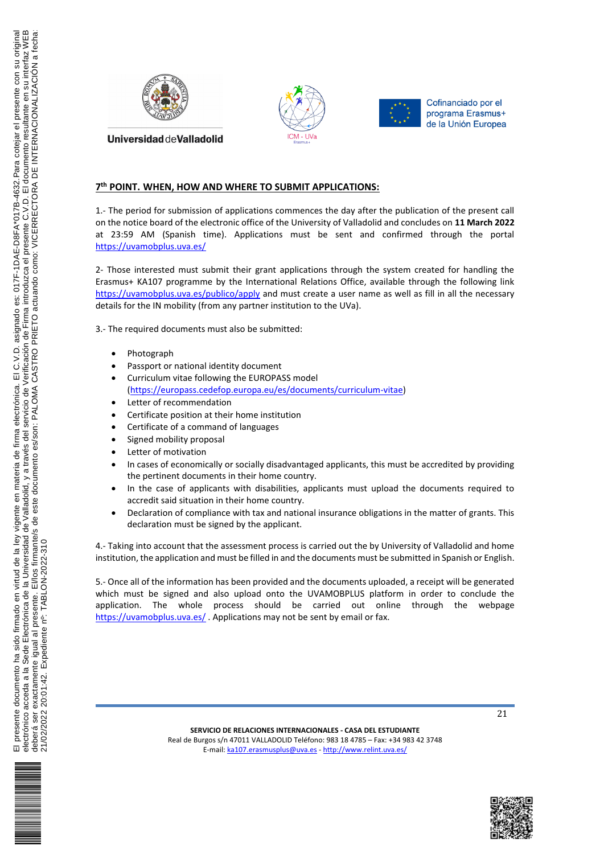





**Universidad deValladolid** 

### **7 th POINT. WHEN, HOW AND WHERE TO SUBMIT APPLICATIONS:**

1.- The period for submission of applications commences the day after the publication of the present call on the notice board of the electronic office of the University of Valladolid and concludes on **11 March 2022** at 23:59 AM (Spanish time). Applications must be sent and confirmed through the portal https://uvamobplus.uva.es/

2- Those interested must submit their grant applications through the system created for handling the Erasmus+ KA107 programme by the International Relations Office, available through the following link https://uvamobplus.uva.es/publico/apply and must create a user name as well as fill in all the necessary details for the IN mobility (from any partner institution to the UVa).

3.- The required documents must also be submitted:

- Photograph
- Passport or national identity document
- Curriculum vitae following the EUROPASS model (https://europass.cedefop.europa.eu/es/documents/curriculum-vitae)
- Letter of recommendation
- Certificate position at their home institution
- Certificate of a command of languages
- Signed mobility proposal
- Letter of motivation
- In cases of economically or socially disadvantaged applicants, this must be accredited by providing the pertinent documents in their home country.
- In the case of applicants with disabilities, applicants must upload the documents required to accredit said situation in their home country.
- Declaration of compliance with tax and national insurance obligations in the matter of grants. This declaration must be signed by the applicant.

4.- Taking into account that the assessment process is carried out the by University of Valladolid and home institution, the application and must be filled in and the documents must be submitted in Spanish or English.

5.- Once all of the information has been provided and the documents uploaded, a receipt will be generated which must be signed and also upload onto the UVAMOBPLUS platform in order to conclude the application. The whole process should be carried out online through the webpage https://uvamobplus.uva.es/. Applications may not be sent by email or fax.



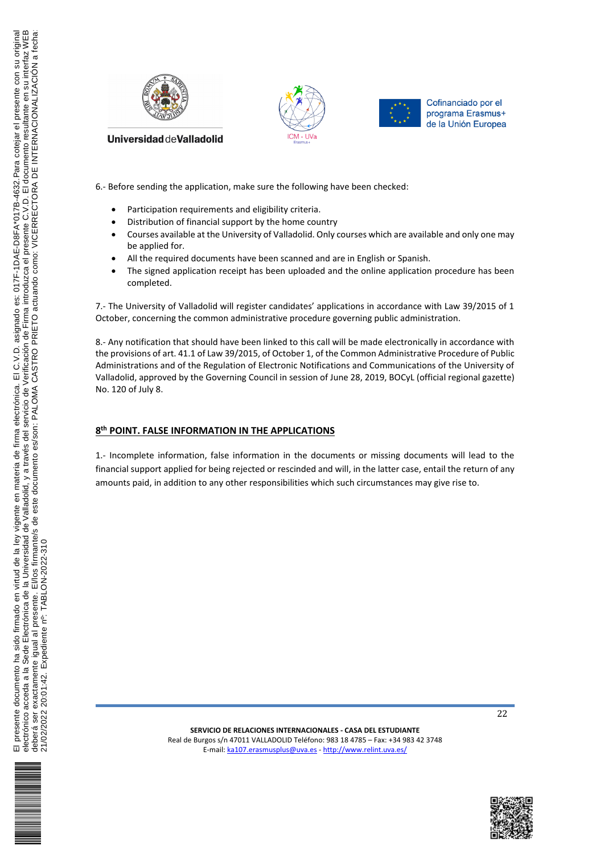





6.- Before sending the application, make sure the following have been checked:

- Participation requirements and eligibility criteria.
- Distribution of financial support by the home country
- Courses available at the University of Valladolid. Only courses which are available and only one may be applied for.
- All the required documents have been scanned and are in English or Spanish.
- The signed application receipt has been uploaded and the online application procedure has been completed.

7.- The University of Valladolid will register candidates' applications in accordance with Law 39/2015 of 1 October, concerning the common administrative procedure governing public administration.

8.- Any notification that should have been linked to this call will be made electronically in accordance with the provisions of art. 41.1 of Law 39/2015, of October 1, of the Common Administrative Procedure of Public Administrations and of the Regulation of Electronic Notifications and Communications of the University of Valladolid, approved by the Governing Council in session of June 28, 2019, BOCyL (official regional gazette) No. 120 of July 8.

# **8 th POINT. FALSE INFORMATION IN THE APPLICATIONS**

1.- Incomplete information, false information in the documents or missing documents will lead to the financial support applied for being rejected or rescinded and will, in the latter case, entail the return of any amounts paid, in addition to any other responsibilities which such circumstances may give rise to.



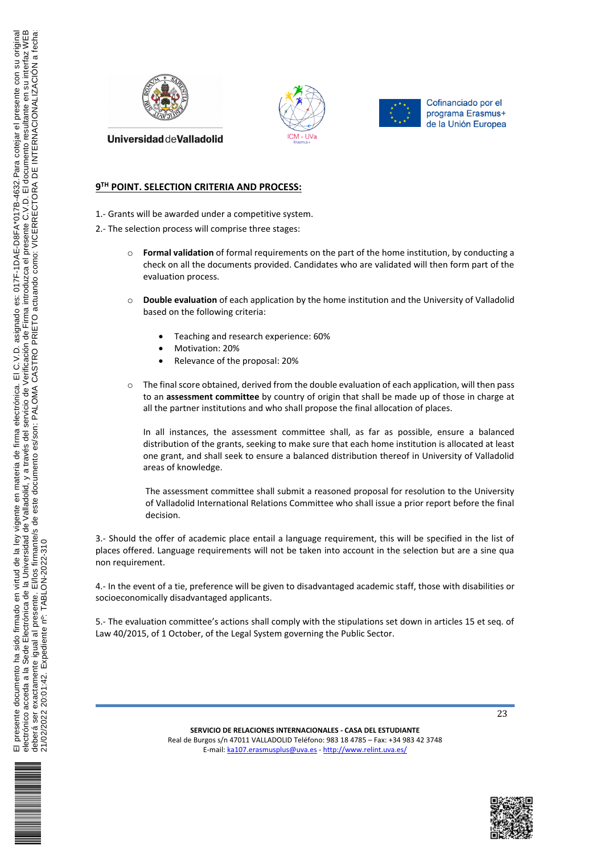





# **9 TH POINT. SELECTION CRITERIA AND PROCESS:**

- 1.- Grants will be awarded under a competitive system.
- 2.- The selection process will comprise three stages:
	- o **Formal validation** of formal requirements on the part of the home institution, by conducting a check on all the documents provided. Candidates who are validated will then form part of the evaluation process.
	- o **Double evaluation** of each application by the home institution and the University of Valladolid based on the following criteria:
		- Teaching and research experience: 60%
		- Motivation: 20%
		- Relevance of the proposal: 20%
	- $\circ$  The final score obtained, derived from the double evaluation of each application, will then pass to an **assessment committee** by country of origin that shall be made up of those in charge at all the partner institutions and who shall propose the final allocation of places.

In all instances, the assessment committee shall, as far as possible, ensure a balanced distribution of the grants, seeking to make sure that each home institution is allocated at least one grant, and shall seek to ensure a balanced distribution thereof in University of Valladolid areas of knowledge.

The assessment committee shall submit a reasoned proposal for resolution to the University of Valladolid International Relations Committee who shall issue a prior report before the final decision.

3.- Should the offer of academic place entail a language requirement, this will be specified in the list of places offered. Language requirements will not be taken into account in the selection but are a sine qua non requirement.

4.- In the event of a tie, preference will be given to disadvantaged academic staff, those with disabilities or socioeconomically disadvantaged applicants.

5.- The evaluation committee's actions shall comply with the stipulations set down in articles 15 et seq. of Law 40/2015, of 1 October, of the Legal System governing the Public Sector.





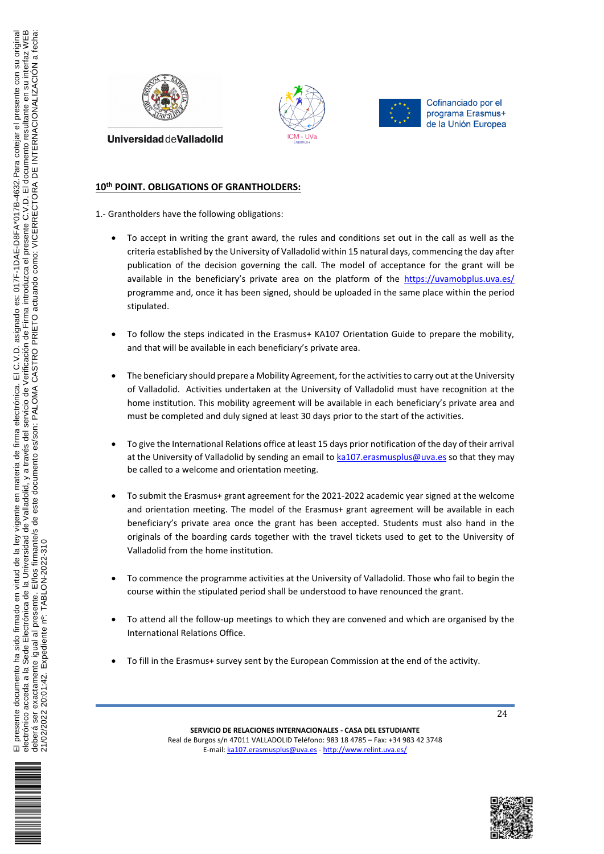





# **10th POINT. OBLIGATIONS OF GRANTHOLDERS:**

1.- Grantholders have the following obligations:

- To accept in writing the grant award, the rules and conditions set out in the call as well as the criteria established by the University of Valladolid within 15 natural days, commencing the day after publication of the decision governing the call. The model of acceptance for the grant will be available in the beneficiary's private area on the platform of the https://uvamobplus.uva.es/ programme and, once it has been signed, should be uploaded in the same place within the period stipulated.
- To follow the steps indicated in the Erasmus+ KA107 Orientation Guide to prepare the mobility, and that will be available in each beneficiary's private area.
- The beneficiary should prepare a Mobility Agreement, for the activities to carry out at the University of Valladolid. Activities undertaken at the University of Valladolid must have recognition at the home institution. This mobility agreement will be available in each beneficiary's private area and must be completed and duly signed at least 30 days prior to the start of the activities.
- To give the International Relations office at least 15 days prior notification of the day of their arrival at the University of Valladolid by sending an email to ka107.erasmusplus@uva.es so that they may be called to a welcome and orientation meeting.
- To submit the Erasmus+ grant agreement for the 2021-2022 academic year signed at the welcome and orientation meeting. The model of the Erasmus+ grant agreement will be available in each beneficiary's private area once the grant has been accepted. Students must also hand in the originals of the boarding cards together with the travel tickets used to get to the University of Valladolid from the home institution.
- To commence the programme activities at the University of Valladolid. Those who fail to begin the course within the stipulated period shall be understood to have renounced the grant.
- To attend all the follow-up meetings to which they are convened and which are organised by the International Relations Office.
- To fill in the Erasmus+ survey sent by the European Commission at the end of the activity.





 $\overline{m}$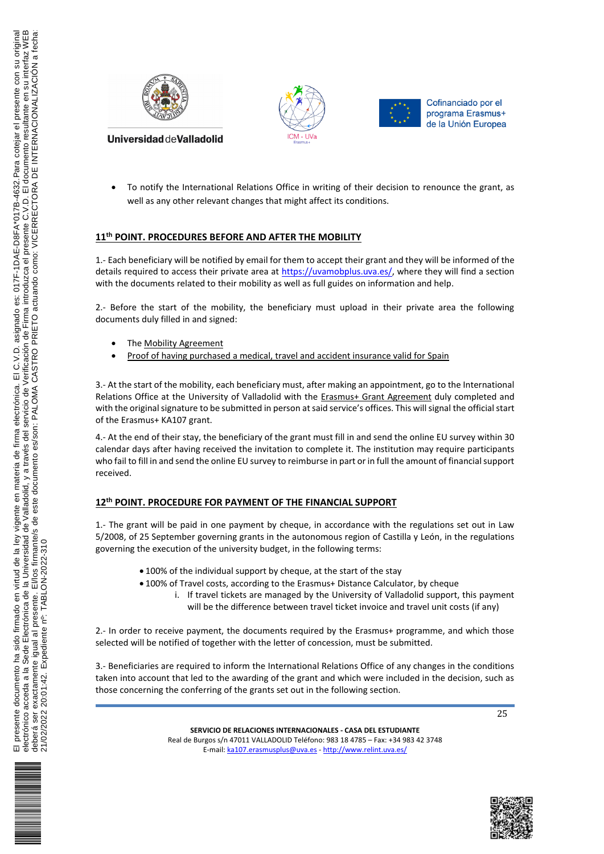





 To notify the International Relations Office in writing of their decision to renounce the grant, as well as any other relevant changes that might affect its conditions.

# **11th POINT. PROCEDURES BEFORE AND AFTER THE MOBILITY**

1.- Each beneficiary will be notified by email for them to accept their grant and they will be informed of the details required to access their private area at https://uvamobplus.uva.es/, where they will find a section with the documents related to their mobility as well as full guides on information and help.

2.- Before the start of the mobility, the beneficiary must upload in their private area the following documents duly filled in and signed:

- The Mobility Agreement
- Proof of having purchased a medical, travel and accident insurance valid for Spain

3.- At the start of the mobility, each beneficiary must, after making an appointment, go to the International Relations Office at the University of Valladolid with the Erasmus+ Grant Agreement duly completed and with the original signature to be submitted in person at said service's offices. This will signal the official start of the Erasmus+ KA107 grant.

4.- At the end of their stay, the beneficiary of the grant must fill in and send the online EU survey within 30 calendar days after having received the invitation to complete it. The institution may require participants who fail to fill in and send the online EU survey to reimburse in part or in full the amount of financial support received.

### **12th POINT. PROCEDURE FOR PAYMENT OF THE FINANCIAL SUPPORT**

1.- The grant will be paid in one payment by cheque, in accordance with the regulations set out in Law 5/2008, of 25 September governing grants in the autonomous region of Castilla y León, in the regulations governing the execution of the university budget, in the following terms:

- 100% of the individual support by cheque, at the start of the stay
- 100% of Travel costs, according to the Erasmus+ Distance Calculator, by cheque
	- i. If travel tickets are managed by the University of Valladolid support, this payment will be the difference between travel ticket invoice and travel unit costs (if any)

2.- In order to receive payment, the documents required by the Erasmus+ programme, and which those selected will be notified of together with the letter of concession, must be submitted.

3.- Beneficiaries are required to inform the International Relations Office of any changes in the conditions taken into account that led to the awarding of the grant and which were included in the decision, such as those concerning the conferring of the grants set out in the following section.





![](_page_8_Picture_23.jpeg)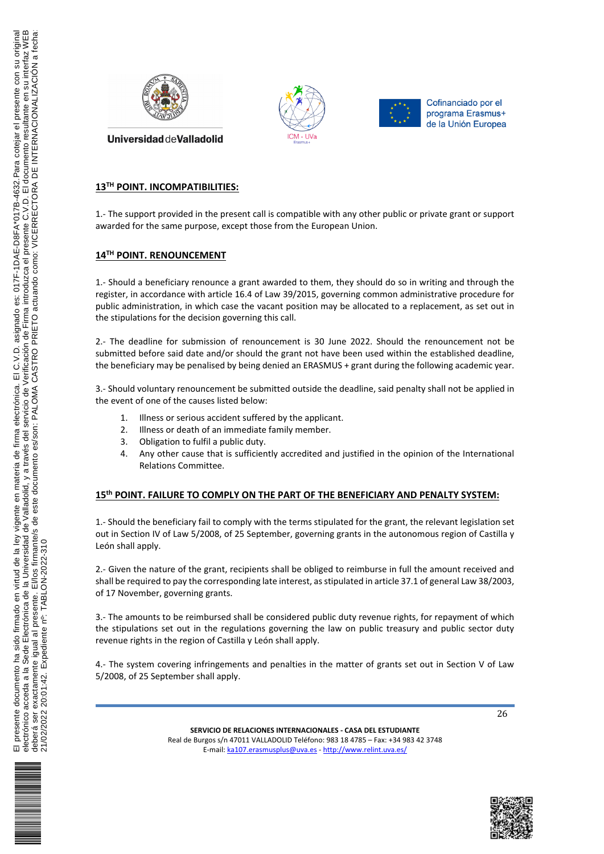![](_page_9_Picture_0.jpeg)

![](_page_9_Picture_1.jpeg)

![](_page_9_Picture_2.jpeg)

# **13TH POINT. INCOMPATIBILITIES:**

1.- The support provided in the present call is compatible with any other public or private grant or support awarded for the same purpose, except those from the European Union.

### **14TH POINT. RENOUNCEMENT**

1.- Should a beneficiary renounce a grant awarded to them, they should do so in writing and through the register, in accordance with article 16.4 of Law 39/2015, governing common administrative procedure for public administration, in which case the vacant position may be allocated to a replacement, as set out in the stipulations for the decision governing this call.

2.- The deadline for submission of renouncement is 30 June 2022. Should the renouncement not be submitted before said date and/or should the grant not have been used within the established deadline, the beneficiary may be penalised by being denied an ERASMUS + grant during the following academic year.

3.- Should voluntary renouncement be submitted outside the deadline, said penalty shall not be applied in the event of one of the causes listed below:

- 1. Illness or serious accident suffered by the applicant.
- 2. Illness or death of an immediate family member.
- 3. Obligation to fulfil a public duty.
- 4. Any other cause that is sufficiently accredited and justified in the opinion of the International Relations Committee.

#### **15th POINT. FAILURE TO COMPLY ON THE PART OF THE BENEFICIARY AND PENALTY SYSTEM:**

1.- Should the beneficiary fail to comply with the terms stipulated for the grant, the relevant legislation set out in Section IV of Law 5/2008, of 25 September, governing grants in the autonomous region of Castilla y León shall apply.

2.- Given the nature of the grant, recipients shall be obliged to reimburse in full the amount received and shall be required to pay the corresponding late interest, as stipulated in article 37.1 of general Law 38/2003, of 17 November, governing grants.

3.- The amounts to be reimbursed shall be considered public duty revenue rights, for repayment of which the stipulations set out in the regulations governing the law on public treasury and public sector duty revenue rights in the region of Castilla y León shall apply.

4.- The system covering infringements and penalties in the matter of grants set out in Section V of Law 5/2008, of 25 September shall apply.

![](_page_9_Picture_20.jpeg)

![](_page_9_Picture_21.jpeg)

![](_page_9_Picture_23.jpeg)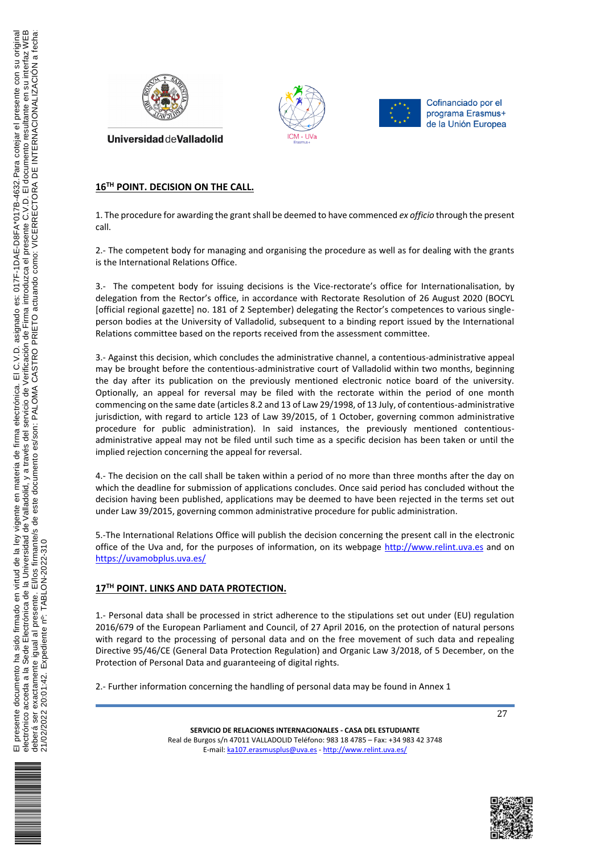![](_page_10_Picture_0.jpeg)

![](_page_10_Picture_1.jpeg)

![](_page_10_Picture_2.jpeg)

# **16TH POINT. DECISION ON THE CALL.**

1. The procedure for awarding the grant shall be deemed to have commenced *ex officio* through the present call.

2.- The competent body for managing and organising the procedure as well as for dealing with the grants is the International Relations Office.

3.- The competent body for issuing decisions is the Vice-rectorate's office for Internationalisation, by delegation from the Rector's office, in accordance with Rectorate Resolution of 26 August 2020 (BOCYL [official regional gazette] no. 181 of 2 September) delegating the Rector's competences to various singleperson bodies at the University of Valladolid, subsequent to a binding report issued by the International Relations committee based on the reports received from the assessment committee.

3.- Against this decision, which concludes the administrative channel, a contentious-administrative appeal may be brought before the contentious-administrative court of Valladolid within two months, beginning the day after its publication on the previously mentioned electronic notice board of the university. Optionally, an appeal for reversal may be filed with the rectorate within the period of one month commencing on the same date (articles 8.2 and 13 of Law 29/1998, of 13 July, of contentious-administrative jurisdiction, with regard to article 123 of Law 39/2015, of 1 October, governing common administrative procedure for public administration). In said instances, the previously mentioned contentiousadministrative appeal may not be filed until such time as a specific decision has been taken or until the implied rejection concerning the appeal for reversal.

4.- The decision on the call shall be taken within a period of no more than three months after the day on which the deadline for submission of applications concludes. Once said period has concluded without the decision having been published, applications may be deemed to have been rejected in the terms set out under Law 39/2015, governing common administrative procedure for public administration.

5.-The International Relations Office will publish the decision concerning the present call in the electronic office of the Uva and, for the purposes of information, on its webpage http://www.relint.uva.es and on https://uvamobplus.uva.es/

### **17TH POINT. LINKS AND DATA PROTECTION.**

1.- Personal data shall be processed in strict adherence to the stipulations set out under (EU) regulation 2016/679 of the European Parliament and Council, of 27 April 2016, on the protection of natural persons with regard to the processing of personal data and on the free movement of such data and repealing Directive 95/46/CE (General Data Protection Regulation) and Organic Law 3/2018, of 5 December, on the Protection of Personal Data and guaranteeing of digital rights.

2.- Further information concerning the handling of personal data may be found in Annex 1

![](_page_10_Picture_15.jpeg)

![](_page_10_Picture_16.jpeg)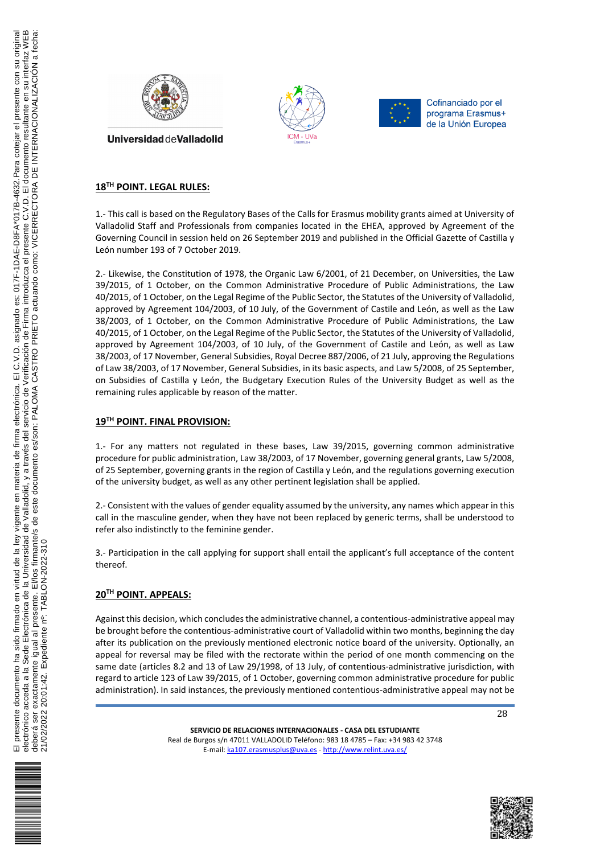![](_page_11_Picture_0.jpeg)

![](_page_11_Picture_1.jpeg)

![](_page_11_Picture_2.jpeg)

# **18TH POINT. LEGAL RULES:**

1.- This call is based on the Regulatory Bases of the Calls for Erasmus mobility grants aimed at University of Valladolid Staff and Professionals from companies located in the EHEA, approved by Agreement of the Governing Council in session held on 26 September 2019 and published in the Official Gazette of Castilla y León number 193 of 7 October 2019.

2.- Likewise, the Constitution of 1978, the Organic Law 6/2001, of 21 December, on Universities, the Law 39/2015, of 1 October, on the Common Administrative Procedure of Public Administrations, the Law 40/2015, of 1 October, on the Legal Regime of the Public Sector, the Statutes of the University of Valladolid, approved by Agreement 104/2003, of 10 July, of the Government of Castile and León, as well as the Law 38/2003, of 1 October, on the Common Administrative Procedure of Public Administrations, the Law 40/2015, of 1 October, on the Legal Regime of the Public Sector, the Statutes of the University of Valladolid, approved by Agreement 104/2003, of 10 July, of the Government of Castile and León, as well as Law 38/2003, of 17 November, General Subsidies, Royal Decree 887/2006, of 21 July, approving the Regulations of Law 38/2003, of 17 November, General Subsidies, in its basic aspects, and Law 5/2008, of 25 September, on Subsidies of Castilla y León, the Budgetary Execution Rules of the University Budget as well as the remaining rules applicable by reason of the matter.

#### **19TH POINT. FINAL PROVISION:**

1.- For any matters not regulated in these bases, Law 39/2015, governing common administrative procedure for public administration, Law 38/2003, of 17 November, governing general grants, Law 5/2008, of 25 September, governing grants in the region of Castilla y León, and the regulations governing execution of the university budget, as well as any other pertinent legislation shall be applied.

2.- Consistent with the values of gender equality assumed by the university, any names which appear in this call in the masculine gender, when they have not been replaced by generic terms, shall be understood to refer also indistinctly to the feminine gender.

3.- Participation in the call applying for support shall entail the applicant's full acceptance of the content thereof.

## **20TH POINT. APPEALS:**

Against this decision, which concludes the administrative channel, a contentious-administrative appeal may be brought before the contentious-administrative court of Valladolid within two months, beginning the day after its publication on the previously mentioned electronic notice board of the university. Optionally, an appeal for reversal may be filed with the rectorate within the period of one month commencing on the same date (articles 8.2 and 13 of Law 29/1998, of 13 July, of contentious-administrative jurisdiction, with regard to article 123 of Law 39/2015, of 1 October, governing common administrative procedure for public administration). In said instances, the previously mentioned contentious-administrative appeal may not be

![](_page_11_Picture_14.jpeg)

![](_page_11_Picture_16.jpeg)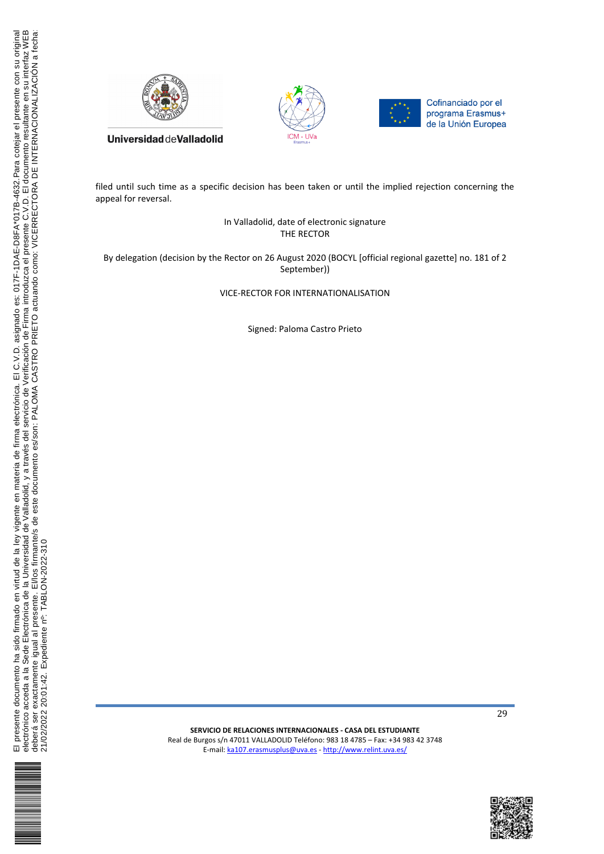![](_page_12_Picture_0.jpeg)

![](_page_12_Picture_1.jpeg)

![](_page_12_Picture_2.jpeg)

filed until such time as a specific decision has been taken or until the implied rejection concerning the appeal for reversal.

> In Valladolid, date of electronic signature THE RECTOR

By delegation (decision by the Rector on 26 August 2020 (BOCYL [official regional gazette] no. 181 of 2 September))

VICE-RECTOR FOR INTERNATIONALISATION

Signed: Paloma Castro Prieto

21/02/2022 20:01:42. Expediente nº: TABLON-2022-310

![](_page_12_Picture_10.jpeg)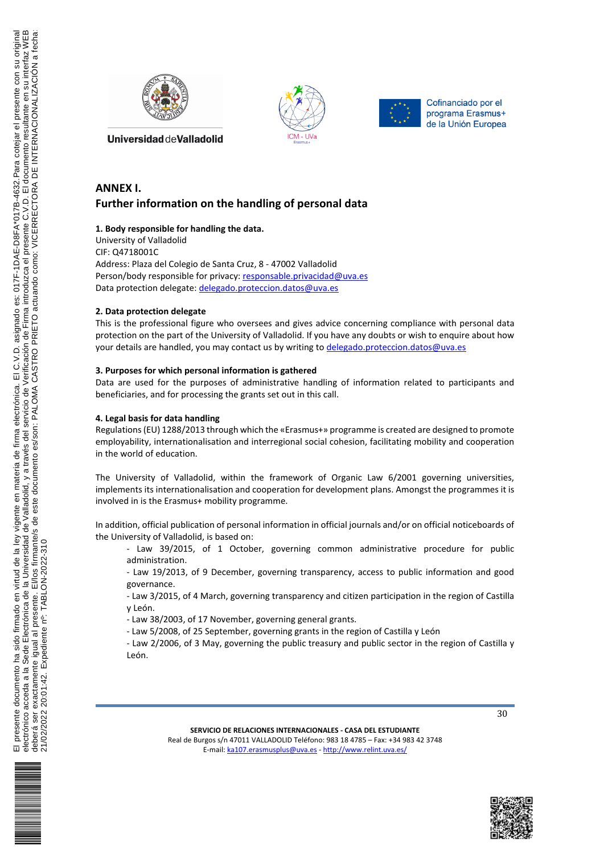![](_page_13_Picture_0.jpeg)

![](_page_13_Picture_1.jpeg)

![](_page_13_Picture_2.jpeg)

# **ANNEX I. Further information on the handling of personal data**

#### **1. Body responsible for handling the data.**

University of Valladolid CIF: Q4718001C Address: Plaza del Colegio de Santa Cruz, 8 - 47002 Valladolid Person/body responsible for privacy: responsable.privacidad@uva.es Data protection delegate: delegado.proteccion.datos@uva.es

#### **2. Data protection delegate**

This is the professional figure who oversees and gives advice concerning compliance with personal data protection on the part of the University of Valladolid. If you have any doubts or wish to enquire about how your details are handled, you may contact us by writing to delegado.proteccion.datos@uva.es

### **3. Purposes for which personal information is gathered**

Data are used for the purposes of administrative handling of information related to participants and beneficiaries, and for processing the grants set out in this call.

### **4. Legal basis for data handling**

Regulations (EU) 1288/2013 through which the «Erasmus+» programme is created are designed to promote employability, internationalisation and interregional social cohesion, facilitating mobility and cooperation in the world of education.

The University of Valladolid, within the framework of Organic Law 6/2001 governing universities, implements its internationalisation and cooperation for development plans. Amongst the programmes it is involved in is the Erasmus+ mobility programme.

In addition, official publication of personal information in official journals and/or on official noticeboards of the University of Valladolid, is based on:

- Law 39/2015, of 1 October, governing common administrative procedure for public administration.

- Law 19/2013, of 9 December, governing transparency, access to public information and good governance.

- Law 3/2015, of 4 March, governing transparency and citizen participation in the region of Castilla y León.

- Law 38/2003, of 17 November, governing general grants.

- Law 5/2008, of 25 September, governing grants in the region of Castilla y León

- Law 2/2006, of 3 May, governing the public treasury and public sector in the region of Castilla y León.

![](_page_13_Picture_22.jpeg)

30

![](_page_13_Picture_25.jpeg)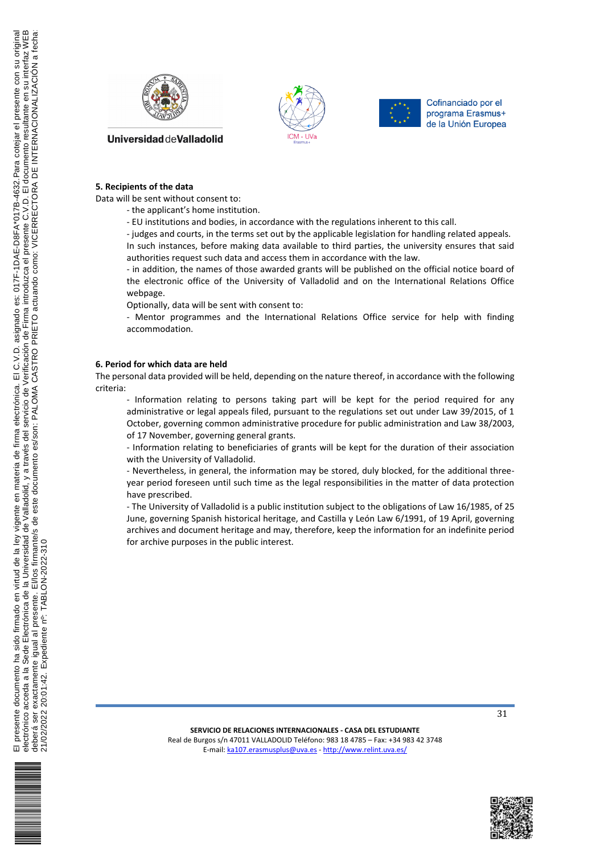![](_page_14_Picture_0.jpeg)

![](_page_14_Picture_1.jpeg)

![](_page_14_Picture_2.jpeg)

#### **5. Recipients of the data**

Data will be sent without consent to:

- the applicant's home institution.

- EU institutions and bodies, in accordance with the regulations inherent to this call.

- judges and courts, in the terms set out by the applicable legislation for handling related appeals. In such instances, before making data available to third parties, the university ensures that said authorities request such data and access them in accordance with the law.

- in addition, the names of those awarded grants will be published on the official notice board of the electronic office of the University of Valladolid and on the International Relations Office webpage.

Optionally, data will be sent with consent to:

- Mentor programmes and the International Relations Office service for help with finding accommodation.

#### **6. Period for which data are held**

The personal data provided will be held, depending on the nature thereof, in accordance with the following criteria:

- Information relating to persons taking part will be kept for the period required for any administrative or legal appeals filed, pursuant to the regulations set out under Law 39/2015, of 1 October, governing common administrative procedure for public administration and Law 38/2003, of 17 November, governing general grants.

- Information relating to beneficiaries of grants will be kept for the duration of their association with the University of Valladolid.

- Nevertheless, in general, the information may be stored, duly blocked, for the additional threeyear period foreseen until such time as the legal responsibilities in the matter of data protection have prescribed.

- The University of Valladolid is a public institution subject to the obligations of Law 16/1985, of 25 June, governing Spanish historical heritage, and Castilla y León Law 6/1991, of 19 April, governing archives and document heritage and may, therefore, keep the information for an indefinite period for archive purposes in the public interest.

![](_page_14_Picture_19.jpeg)

**SERVICIO DE RELACIONES INTERNACIONALES - CASA DEL ESTUDIANTE** Real de Burgos s/n 47011 VALLADOLID Teléfono: 983 18 4785 – Fax: +34 983 42 3748 E-mail: ka107.erasmusplus@uva.es - http://www.relint.uva.es/

![](_page_14_Picture_21.jpeg)